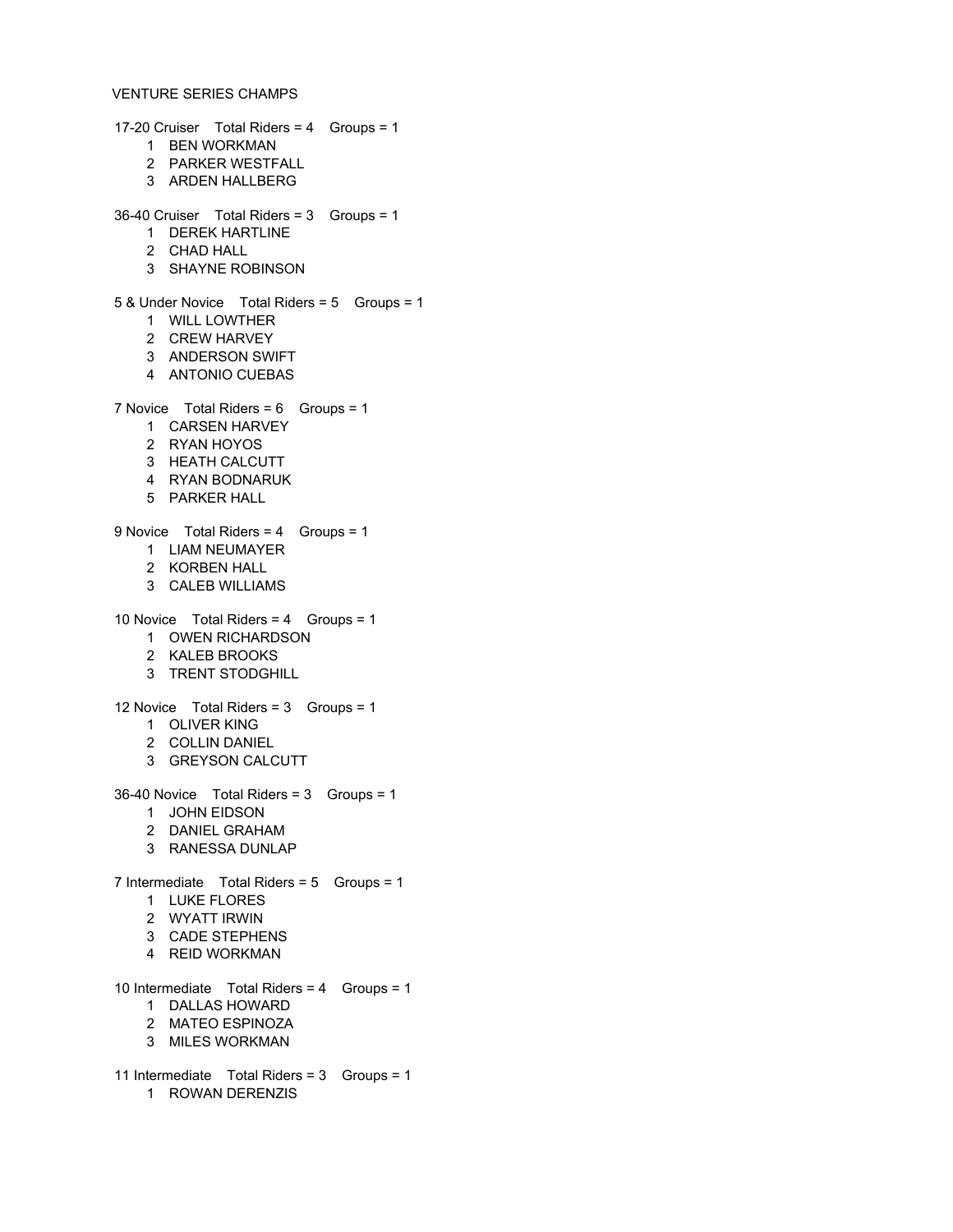## VENTURE SERIES CHAMPS

17-20 Cruiser Total Riders = 4 Groups = 1 BEN WORKMAN PARKER WESTFALL ARDEN HALLBERG 36-40 Cruiser Total Riders = 3 Groups = 1 DEREK HARTLINE CHAD HALL SHAYNE ROBINSON 5 & Under Novice Total Riders = 5 Groups = 1 WILL LOWTHER CREW HARVEY ANDERSON SWIFT ANTONIO CUEBAS 7 Novice Total Riders = 6 Groups = 1 CARSEN HARVEY RYAN HOYOS HEATH CALCUTT RYAN BODNARUK PARKER HALL 9 Novice Total Riders = 4 Groups = 1 LIAM NEUMAYER KORBEN HALL CALEB WILLIAMS 10 Novice Total Riders = 4 Groups = 1 OWEN RICHARDSON KALEB BROOKS TRENT STODGHILL 12 Novice Total Riders = 3 Groups = 1 OLIVER KING COLLIN DANIEL GREYSON CALCUTT 36-40 Novice Total Riders = 3 Groups = 1 JOHN EIDSON DANIEL GRAHAM RANESSA DUNLAP 7 Intermediate Total Riders = 5 Groups = 1 LUKE FLORES WYATT IRWIN CADE STEPHENS REID WORKMAN 10 Intermediate Total Riders = 4 Groups = 1 DALLAS HOWARD MATEO ESPINOZA MILES WORKMAN 11 Intermediate Total Riders = 3 Groups = 1

ROWAN DERENZIS